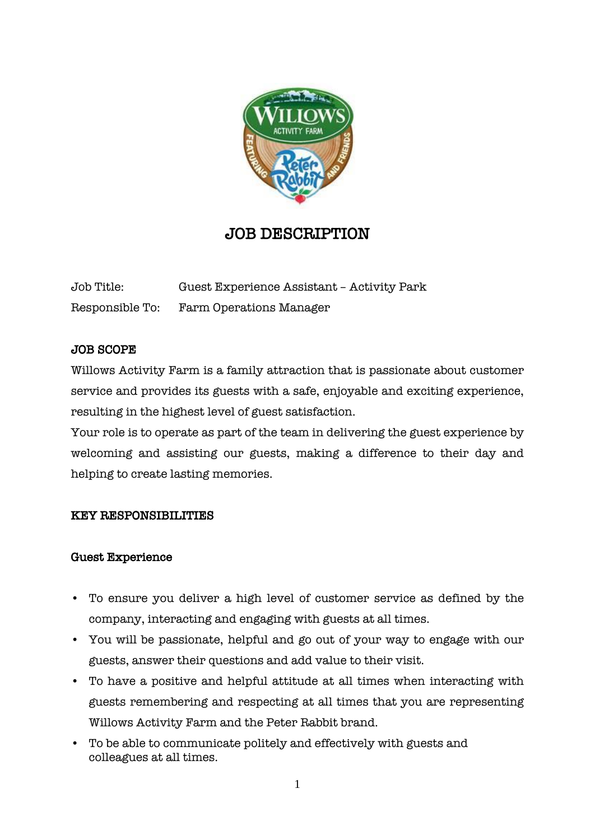

# JOB DESCRIPTION

Job Title: Guest Experience Assistant – Activity Park Responsible To: Farm Operations Manager

## JOB SCOPE

Willows Activity Farm is a family attraction that is passionate about customer service and provides its guests with a safe, enjoyable and exciting experience, resulting in the highest level of guest satisfaction.

Your role is to operate as part of the team in delivering the guest experience by welcoming and assisting our guests, making a difference to their day and helping to create lasting memories.

#### KEY RESPONSIBILITIES

#### Guest Experience

- To ensure you deliver a high level of customer service as defined by the company, interacting and engaging with guests at all times.
- You will be passionate, helpful and go out of your way to engage with our guests, answer their questions and add value to their visit.
- To have a positive and helpful attitude at all times when interacting with guests remembering and respecting at all times that you are representing Willows Activity Farm and the Peter Rabbit brand.
- To be able to communicate politely and effectively with guests and colleagues at all times.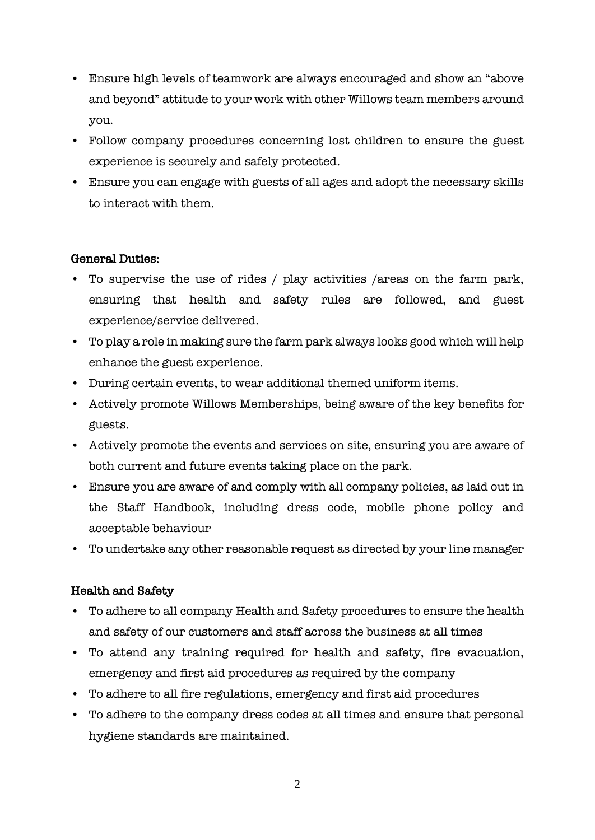- Ensure high levels of teamwork are always encouraged and show an "above and beyond" attitude to your work with other Willows team members around you.
- Follow company procedures concerning lost children to ensure the guest experience is securely and safely protected.
- Ensure you can engage with guests of all ages and adopt the necessary skills to interact with them.

## General Duties:

- To supervise the use of rides / play activities /areas on the farm park, ensuring that health and safety rules are followed, and guest experience/service delivered.
- To play a role in making sure the farm park always looks good which will help enhance the guest experience.
- During certain events, to wear additional themed uniform items.
- Actively promote Willows Memberships, being aware of the key benefits for guests.
- Actively promote the events and services on site, ensuring you are aware of both current and future events taking place on the park.
- Ensure you are aware of and comply with all company policies, as laid out in the Staff Handbook, including dress code, mobile phone policy and acceptable behaviour
- To undertake any other reasonable request as directed by your line manager

# Health and Safety

- To adhere to all company Health and Safety procedures to ensure the health and safety of our customers and staff across the business at all times
- To attend any training required for health and safety, fire evacuation, emergency and first aid procedures as required by the company
- To adhere to all fire regulations, emergency and first aid procedures
- To adhere to the company dress codes at all times and ensure that personal hygiene standards are maintained.